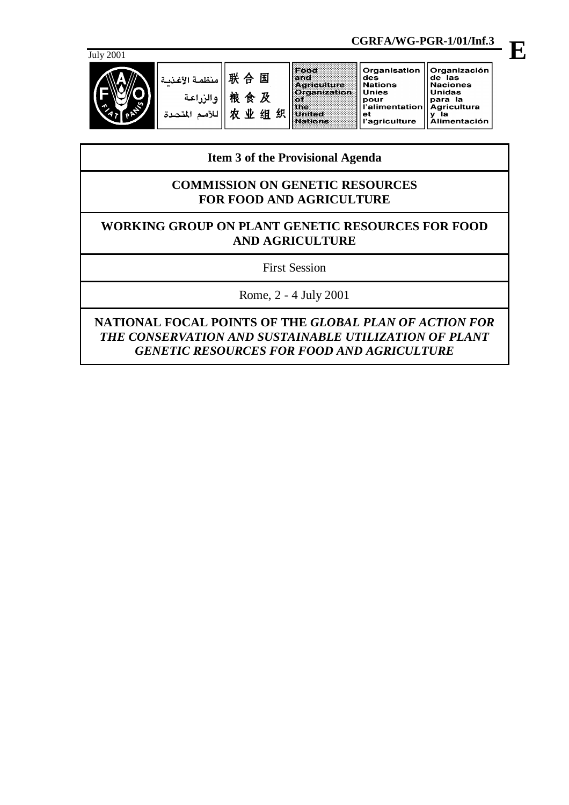

| Organisation<br>'Organización<br>  联 合 国    منظمة الأغذيـة "<br>de las<br>des<br><b>Naciones</b><br><b>Agriculture</b><br>Nations<br>Organization  <br><b>Unidas</b><br>l Unies<br>粮食及<br>والزراعة<br>-la<br>para<br>pour<br> l'alimentation   Agricultura<br>织<br>组<br>۷V<br>miliedi<br>et<br>Alimentación<br>l'agriculture<br>lations |  |  |  |  |
|-----------------------------------------------------------------------------------------------------------------------------------------------------------------------------------------------------------------------------------------------------------------------------------------------------------------------------------------|--|--|--|--|
|                                                                                                                                                                                                                                                                                                                                         |  |  |  |  |

# **Item 3 of the Provisional Agenda**

# **COMMISSION ON GENETIC RESOURCES FOR FOOD AND AGRICULTURE**

# **WORKING GROUP ON PLANT GENETIC RESOURCES FOR FOOD AND AGRICULTURE**

First Session

Rome, 2 - 4 July 2001

**NATIONAL FOCAL POINTS OF THE** *GLOBAL PLAN OF ACTION FOR THE CONSERVATION AND SUSTAINABLE UTILIZATION OF PLANT GENETIC RESOURCES FOR FOOD AND AGRICULTURE*

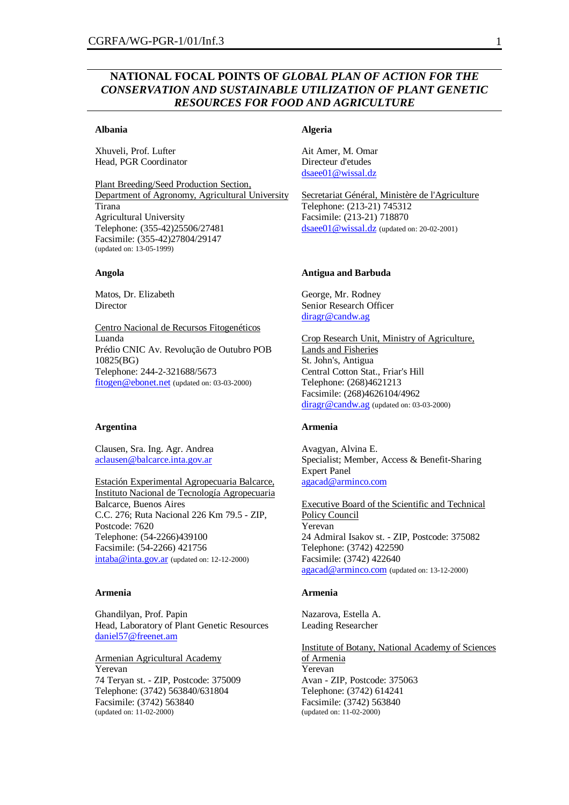# **NATIONAL FOCAL POINTS OF** *GLOBAL PLAN OF ACTION FOR THE CONSERVATION AND SUSTAINABLE UTILIZATION OF PLANT GENETIC RESOURCES FOR FOOD AND AGRICULTURE*

# **Albania**

Xhuveli, Prof. Lufter Head, PGR Coordinator

Plant Breeding/Seed Production Section, Department of Agronomy, Agricultural University Tirana Agricultural University Telephone: (355-42)25506/27481 Facsimile: (355-42)27804/29147 (updated on: 13-05-1999)

#### **Angola**

Matos, Dr. Elizabeth Director

Centro Nacional de Recursos Fitogenéticos Luanda Prédio CNIC Av. Revolução de Outubro POB 10825(BG) Telephone: 244-2-321688/5673 fitogen@ebonet.net (updated on: 03-03-2000)

## **Argentina**

Clausen, Sra. Ing. Agr. Andrea aclausen@balcarce.inta.gov.ar

Estación Experimental Agropecuaria Balcarce, Instituto Nacional de Tecnología Agropecuaria Balcarce, Buenos Aires C.C. 276; Ruta Nacional 226 Km 79.5 - ZIP, Postcode: 7620 Telephone: (54-2266)439100 Facsimile: (54-2266) 421756 intaba@inta.gov.ar (updated on: 12-12-2000)

#### **Armenia**

Ghandilyan, Prof. Papin Head, Laboratory of Plant Genetic Resources daniel57@freenet.am

Armenian Agricultural Academy Yerevan 74 Teryan st. - ZIP, Postcode: 375009 Telephone: (3742) 563840/631804 Facsimile: (3742) 563840 (updated on: 11-02-2000)

## **Algeria**

Ait Amer, M. Omar Directeur d'etudes dsaee01@wissal.dz

Secretariat Général, Ministère de l'Agriculture Telephone: (213-21) 745312 Facsimile: (213-21) 718870 dsaee01@wissal.dz (updated on: 20-02-2001)

#### **Antigua and Barbuda**

George, Mr. Rodney Senior Research Officer diragr@candw.ag

Crop Research Unit, Ministry of Agriculture, Lands and Fisheries St. John's, Antigua Central Cotton Stat., Friar's Hill Telephone: (268)4621213 Facsimile: (268)4626104/4962 diragr@candw.ag (updated on: 03-03-2000)

#### **Armenia**

Avagyan, Alvina E. Specialist; Member, Access & Benefit-Sharing Expert Panel agacad@arminco.com

Executive Board of the Scientific and Technical Policy Council Yerevan 24 Admiral Isakov st. - ZIP, Postcode: 375082 Telephone: (3742) 422590 Facsimile: (3742) 422640 agacad@arminco.com (updated on: 13-12-2000)

#### **Armenia**

Nazarova, Estella A. Leading Researcher

Institute of Botany, National Academy of Sciences of Armenia Yerevan Avan - ZIP, Postcode: 375063 Telephone: (3742) 614241 Facsimile: (3742) 563840 (updated on: 11-02-2000)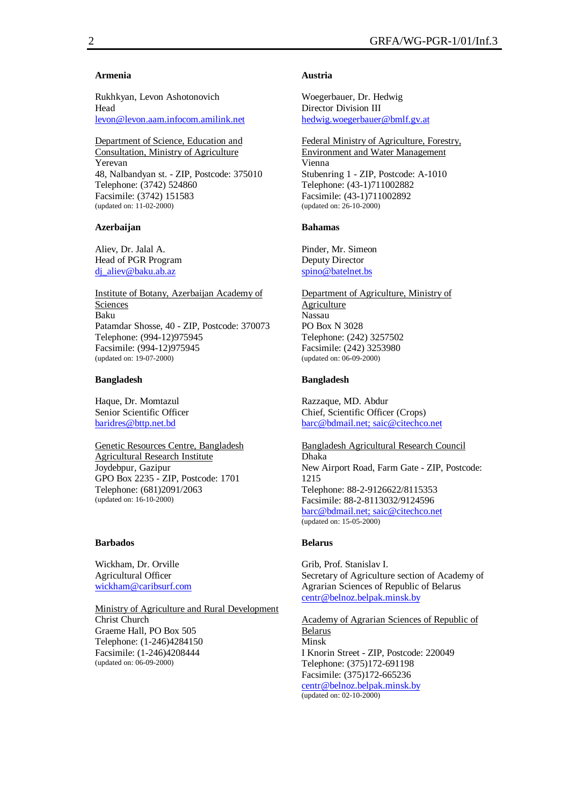## **Armenia**

Rukhkyan, Levon Ashotonovich Head levon@levon.aam.infocom.amilink.net

Department of Science, Education and Consultation, Ministry of Agriculture Yerevan 48, Nalbandyan st. - ZIP, Postcode: 375010 Telephone: (3742) 524860 Facsimile: (3742) 151583 (updated on: 11-02-2000)

#### **Azerbaijan**

Aliev, Dr. Jalal A. Head of PGR Program di aliev@baku.ab.az

Institute of Botany, Azerbaijan Academy of Sciences Baku Patamdar Shosse, 40 - ZIP, Postcode: 370073 Telephone: (994-12)975945 Facsimile: (994-12)975945 (updated on: 19-07-2000)

#### **Bangladesh**

Haque, Dr. Momtazul Senior Scientific Officer baridres@bttp.net.bd

Genetic Resources Centre, Bangladesh Agricultural Research Institute Joydebpur, Gazipur GPO Box 2235 - ZIP, Postcode: 1701 Telephone: (681)2091/2063 (updated on: 16-10-2000)

## **Barbados**

Wickham, Dr. Orville Agricultural Officer wickham@caribsurf.com

Ministry of Agriculture and Rural Development

Christ Church Graeme Hall, PO Box 505 Telephone: (1-246)4284150 Facsimile: (1-246)4208444 (updated on: 06-09-2000)

#### **Austria**

Woegerbauer, Dr. Hedwig Director Division III hedwig.woegerbauer@bmlf.gv.at

Federal Ministry of Agriculture, Forestry, Environment and Water Management Vienna Stubenring 1 - ZIP, Postcode: A-1010 Telephone: (43-1)711002882 Facsimile: (43-1)711002892 (updated on: 26-10-2000)

#### **Bahamas**

Pinder, Mr. Simeon Deputy Director spino@batelnet.bs

Department of Agriculture, Ministry of Agriculture Nassau PO Box N 3028 Telephone: (242) 3257502 Facsimile: (242) 3253980 (updated on: 06-09-2000)

#### **Bangladesh**

Razzaque, MD. Abdur Chief, Scientific Officer (Crops) barc@bdmail.net; saic@citechco.net

Bangladesh Agricultural Research Council Dhaka New Airport Road, Farm Gate - ZIP, Postcode: 1215 Telephone: 88-2-9126622/8115353 Facsimile: 88-2-8113032/9124596 barc@bdmail.net; saic@citechco.net (updated on: 15-05-2000)

#### **Belarus**

Grib, Prof. Stanislav I. Secretary of Agriculture section of Academy of Agrarian Sciences of Republic of Belarus centr@belnoz.belpak.minsk.by

Academy of Agrarian Sciences of Republic of Belarus Minsk I Knorin Street - ZIP, Postcode: 220049 Telephone: (375)172-691198 Facsimile: (375)172-665236 centr@belnoz.belpak.minsk.by (updated on: 02-10-2000)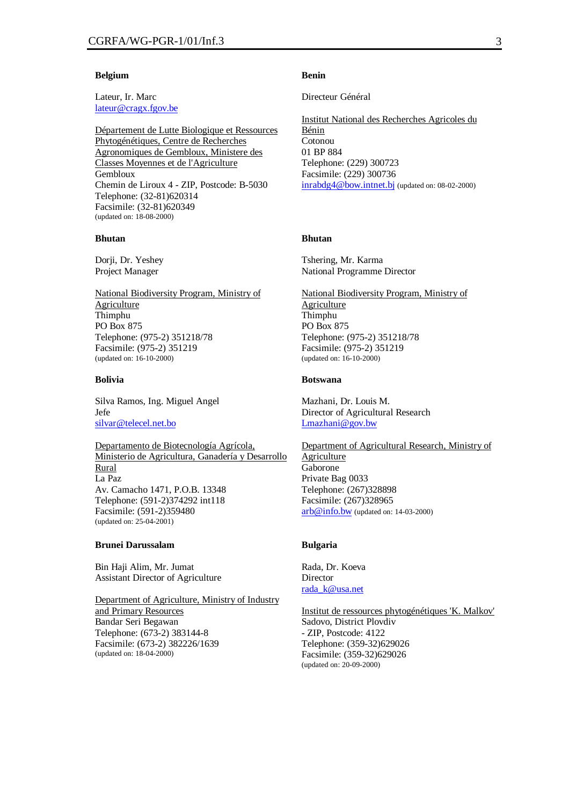#### **Belgium**

Lateur, Ir. Marc lateur@cragx.fgov.be

Département de Lutte Biologique et Ressources Phytogénétiques, Centre de Recherches Agronomiques de Gembloux, Ministere des Classes Moyennes et de l'Agriculture Gembloux Chemin de Liroux 4 - ZIP, Postcode: B-5030 Telephone: (32-81)620314 Facsimile: (32-81)620349 (updated on: 18-08-2000)

#### **Bhutan**

Dorji, Dr. Yeshey Project Manager

National Biodiversity Program, Ministry of Agriculture Thimphu PO Box 875 Telephone: (975-2) 351218/78 Facsimile: (975-2) 351219 (updated on: 16-10-2000)

#### **Bolivia**

Silva Ramos, Ing. Miguel Angel Jefe silvar@telecel.net.bo

Departamento de Biotecnología Agrícola, Ministerio de Agricultura, Ganadería y Desarrollo Rural La Paz Av. Camacho 1471, P.O.B. 13348 Telephone: (591-2)374292 int118 Facsimile: (591-2)359480 (updated on: 25-04-2001)

## **Brunei Darussalam**

Bin Haji Alim, Mr. Jumat Assistant Director of Agriculture

Department of Agriculture, Ministry of Industry and Primary Resources Bandar Seri Begawan Telephone: (673-2) 383144-8 Facsimile: (673-2) 382226/1639 (updated on: 18-04-2000)

#### **Benin**

Directeur Général

Institut National des Recherches Agricoles du Bénin Cotonou 01 BP 884 Telephone: (229) 300723 Facsimile: (229) 300736 inrabdg4@bow.intnet.bj (updated on: 08-02-2000)

## **Bhutan**

Tshering, Mr. Karma National Programme Director

National Biodiversity Program, Ministry of Agriculture Thimphu PO Box 875 Telephone: (975-2) 351218/78 Facsimile: (975-2) 351219 (updated on: 16-10-2000)

#### **Botswana**

Mazhani, Dr. Louis M. Director of Agricultural Research Lmazhani@gov.bw

#### Department of Agricultural Research, Ministry of

Agriculture Gaborone Private Bag 0033 Telephone: (267)328898 Facsimile: (267)328965 arb@info.bw (updated on: 14-03-2000)

#### **Bulgaria**

Rada, Dr. Koeva Director rada\_k@usa.net

Institut de ressources phytogénétiques 'K. Malkov' Sadovo, District Plovdiv - ZIP, Postcode: 4122 Telephone: (359-32)629026 Facsimile: (359-32)629026 (updated on: 20-09-2000)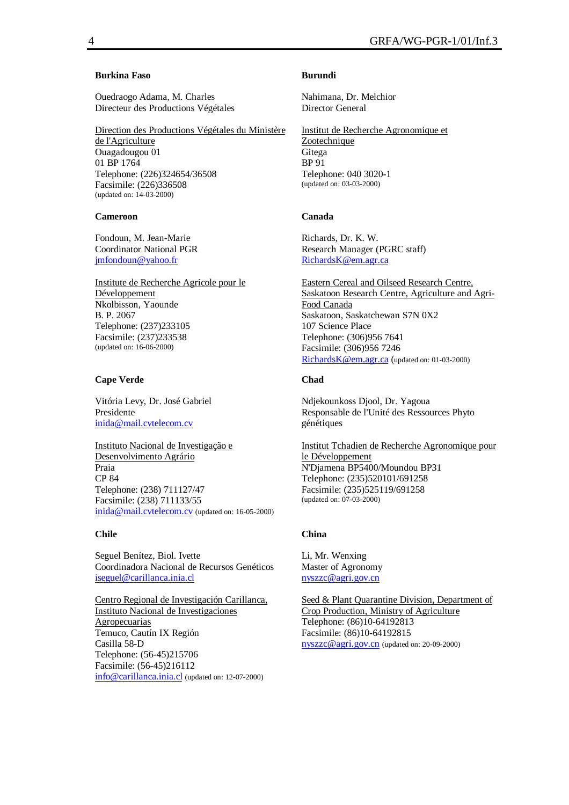# **Burkina Faso**

Ouedraogo Adama, M. Charles Directeur des Productions Végétales

Direction des Productions Végétales du Ministère de l'Agriculture Ouagadougou 01 01 BP 1764 Telephone: (226)324654/36508 Facsimile: (226)336508 (updated on: 14-03-2000)

## **Cameroon**

Fondoun, M. Jean-Marie Coordinator National PGR jmfondoun@yahoo.fr

Institute de Recherche Agricole pour le Développement Nkolbisson, Yaounde B. P. 2067 Telephone: (237)233105 Facsimile: (237)233538 (updated on: 16-06-2000)

## **Cape Verde**

Vitória Levy, Dr. José Gabriel Presidente inida@mail.cvtelecom.cv

Instituto Nacional de Investigação e Desenvolvimento Agrário Praia CP 84 Telephone: (238) 711127/47 Facsimile: (238) 711133/55 inida@mail.cvtelecom.cv (updated on: 16-05-2000)

#### **Chile**

Seguel Benítez, Biol. Ivette Coordinadora Nacional de Recursos Genéticos iseguel@carillanca.inia.cl

Centro Regional de Investigación Carillanca, Instituto Nacional de Investigaciones Agropecuarias Temuco, Cautín IX Región Casilla 58-D Telephone: (56-45)215706 Facsimile: (56-45)216112 info@carillanca.inia.cl (updated on: 12-07-2000)

## **Burundi**

Nahimana, Dr. Melchior Director General

Institut de Recherche Agronomique et Zootechnique Gitega BP 91 Telephone: 040 3020-1 (updated on: 03-03-2000)

#### **Canada**

Richards, Dr. K. W. Research Manager (PGRC staff) RichardsK@em.agr.ca

Eastern Cereal and Oilseed Research Centre, Saskatoon Research Centre, Agriculture and Agri-Food Canada Saskatoon, Saskatchewan S7N 0X2 107 Science Place Telephone: (306)956 7641 Facsimile: (306)956 7246 RichardsK@em.agr.ca (updated on: 01-03-2000)

#### **Chad**

Ndjekounkoss Djool, Dr. Yagoua Responsable de l'Unité des Ressources Phyto génétiques

Institut Tchadien de Recherche Agronomique pour le Développement N'Djamena BP5400/Moundou BP31 Telephone: (235)520101/691258 Facsimile: (235)525119/691258 (updated on: 07-03-2000)

#### **China**

Li, Mr. Wenxing Master of Agronomy nyszzc@agri.gov.cn

Seed & Plant Quarantine Division, Department of Crop Production, Ministry of Agriculture Telephone: (86)10-64192813 Facsimile: (86)10-64192815 nyszzc@agri.gov.cn (updated on: 20-09-2000)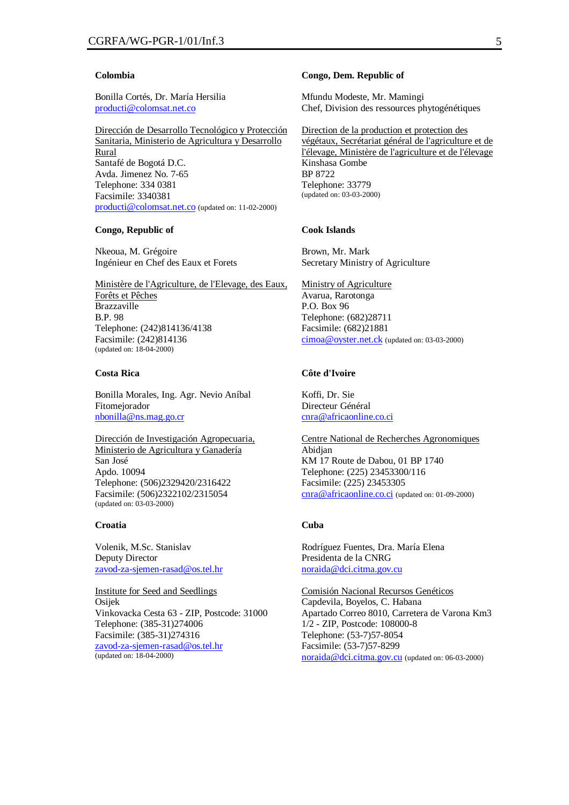#### **Colombia**

Bonilla Cortés, Dr. María Hersilia producti@colomsat.net.co

Dirección de Desarrollo Tecnológico y Protección Sanitaria, Ministerio de Agricultura y Desarrollo Rural Santafé de Bogotá D.C. Avda. Jimenez No. 7-65 Telephone: 334 0381 Facsimile: 3340381 producti@colomsat.net.co (updated on: 11-02-2000)

#### **Congo, Republic of**

Nkeoua, M. Grégoire Ingénieur en Chef des Eaux et Forets

Ministère de l'Agriculture, de l'Elevage, des Eaux, Forêts et Pêches Brazzaville B.P. 98 Telephone: (242)814136/4138 Facsimile: (242)814136 (updated on: 18-04-2000)

## **Costa Rica**

Bonilla Morales, Ing. Agr. Nevio Aníbal Fitomejorador nbonilla@ns.mag.go.cr

Dirección de Investigación Agropecuaria, Ministerio de Agricultura y Ganadería San José Apdo. 10094 Telephone: (506)2329420/2316422 Facsimile: (506)2322102/2315054 (updated on: 03-03-2000)

#### **Croatia**

Volenik, M.Sc. Stanislav Deputy Director zavod-za-sjemen-rasad@os.tel.hr

Institute for Seed and Seedlings Osijek Vinkovacka Cesta 63 - ZIP, Postcode: 31000 Telephone: (385-31)274006 Facsimile: (385-31)274316 zavod-za-sjemen-rasad@os.tel.hr (updated on: 18-04-2000)

#### **Congo, Dem. Republic of**

Mfundu Modeste, Mr. Mamingi Chef, Division des ressources phytogénétiques

Direction de la production et protection des végétaux, Secrétariat général de l'agriculture et de l'élevage, Ministère de l'agriculture et de l'élevage Kinshasa Gombe BP 8722 Telephone: 33779 (updated on: 03-03-2000)

## **Cook Islands**

Brown, Mr. Mark Secretary Ministry of Agriculture

Ministry of Agriculture Avarua, Rarotonga P.O. Box 96 Telephone: (682)28711 Facsimile: (682)21881 cimoa@oyster.net.ck (updated on: 03-03-2000)

# **Côte d'Ivoire**

Koffi, Dr. Sie Directeur Général cnra@africaonline.co.ci

Centre National de Recherches Agronomiques Abidjan KM 17 Route de Dabou, 01 BP 1740 Telephone: (225) 23453300/116 Facsimile: (225) 23453305 cnra@africaonline.co.ci (updated on: 01-09-2000)

#### **Cuba**

Rodríguez Fuentes, Dra. María Elena Presidenta de la CNRG noraida@dci.citma.gov.cu

Comisión Nacional Recursos Genéticos Capdevila, Boyelos, C. Habana Apartado Correo 8010, Carretera de Varona Km3 1/2 - ZIP, Postcode: 108000-8 Telephone: (53-7)57-8054 Facsimile: (53-7)57-8299 noraida@dci.citma.gov.cu (updated on: 06-03-2000)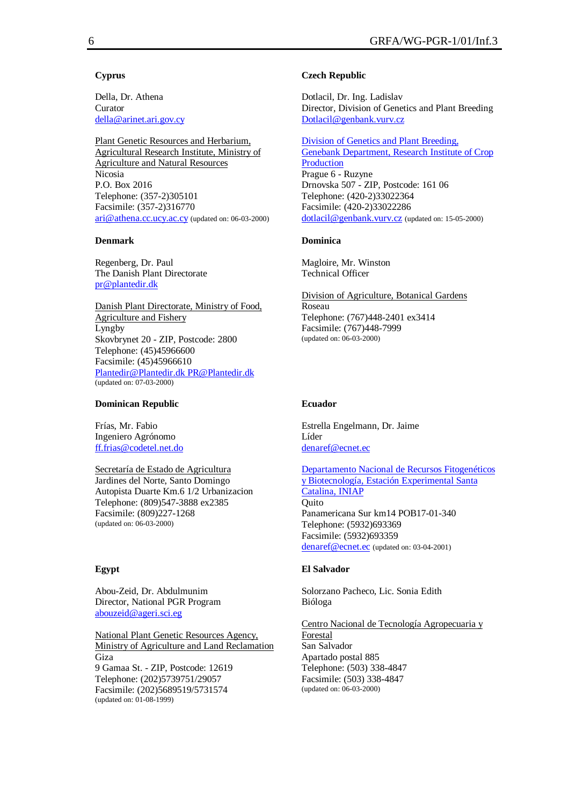# **Cyprus**

Della, Dr. Athena Curator della@arinet.ari.gov.cy

Plant Genetic Resources and Herbarium, Agricultural Research Institute, Ministry of Agriculture and Natural Resources Nicosia P.O. Box 2016 Telephone: (357-2)305101 Facsimile: (357-2)316770 ari@athena.cc.ucy.ac.cy (updated on: 06-03-2000)

# **Denmark**

Regenberg, Dr. Paul The Danish Plant Directorate pr@plantedir.dk

Danish Plant Directorate, Ministry of Food, Agriculture and Fishery Lyngby Skovbrynet 20 - ZIP, Postcode: 2800 Telephone: (45)45966600 Facsimile: (45)45966610 Plantedir@Plantedir.dk PR@Plantedir.dk (updated on: 07-03-2000)

## **Dominican Republic**

Frías, Mr. Fabio Ingeniero Agrónomo ff.frias@codetel.net.do

Secretaría de Estado de Agricultura Jardines del Norte, Santo Domingo Autopista Duarte Km.6 1/2 Urbanizacion Telephone: (809)547-3888 ex2385 Facsimile: (809)227-1268 (updated on: 06-03-2000)

# **Egypt**

Abou-Zeid, Dr. Abdulmunim Director, National PGR Program abouzeid@ageri.sci.eg

National Plant Genetic Resources Agency, Ministry of Agriculture and Land Reclamation Giza 9 Gamaa St. - ZIP, Postcode: 12619 Telephone: (202)5739751/29057 Facsimile: (202)5689519/5731574 (updated on: 01-08-1999)

# **Czech Republic**

Dotlacil, Dr. Ing. Ladislav Director, Division of Genetics and Plant Breeding Dotlacil@genbank.vurv.cz

Division of Genetics and Plant Breeding, Genebank Department, Research Institute of Crop Production Prague 6 - Ruzyne Drnovska 507 - ZIP, Postcode: 161 06 Telephone: (420-2)33022364 Facsimile: (420-2)33022286 dotlacil@genbank.vurv.cz (updated on: 15-05-2000)

# **Dominica**

Magloire, Mr. Winston Technical Officer

Division of Agriculture, Botanical Gardens Roseau Telephone: (767)448-2401 ex3414 Facsimile: (767)448-7999 (updated on: 06-03-2000)

# **Ecuador**

Estrella Engelmann, Dr. Jaime Líder denaref@ecnet.ec

Departamento Nacional de Recursos Fitogenéticos y Biotecnología, Estación Experimental Santa Catalina, INIAP **Quito** Panamericana Sur km14 POB17-01-340 Telephone: (5932)693369 Facsimile: (5932)693359 denaref@ecnet.ec (updated on: 03-04-2001)

# **El Salvador**

Solorzano Pacheco, Lic. Sonia Edith Bióloga

Centro Nacional de Tecnología Agropecuaria y Forestal San Salvador Apartado postal 885 Telephone: (503) 338-4847 Facsimile: (503) 338-4847 (updated on: 06-03-2000)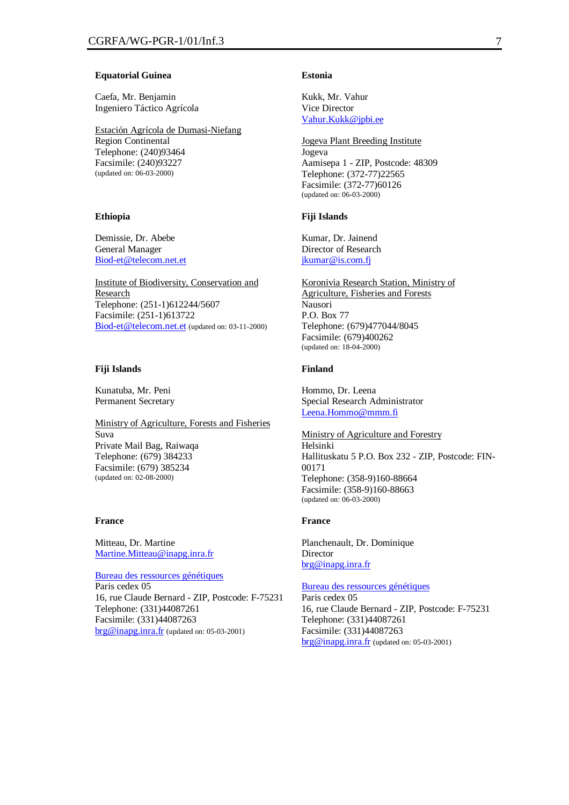#### **Equatorial Guinea**

Caefa, Mr. Benjamin Ingeniero Táctico Agrícola

Estación Agrícola de Dumasi-Niefang Region Continental Telephone: (240)93464 Facsimile: (240)93227 (updated on: 06-03-2000)

#### **Ethiopia**

Demissie, Dr. Abebe General Manager Biod-et@telecom.net.et

Institute of Biodiversity, Conservation and **Research** Telephone: (251-1)612244/5607 Facsimile: (251-1)613722 Biod-et@telecom.net.et (updated on: 03-11-2000)

#### **Fiji Islands**

Kunatuba, Mr. Peni Permanent Secretary

Ministry of Agriculture, Forests and Fisheries Suva Private Mail Bag, Raiwaqa Telephone: (679) 384233 Facsimile: (679) 385234 (updated on: 02-08-2000)

## **France**

Mitteau, Dr. Martine Martine.Mitteau@inapg.inra.fr

Bureau des ressources génétiques

Paris cedex 05 16, rue Claude Bernard - ZIP, Postcode: F-75231 Telephone: (331)44087261 Facsimile: (331)44087263 brg@inapg.inra.fr (updated on: 05-03-2001)

## **Estonia**

Kukk, Mr. Vahur Vice Director Vahur.Kukk@jpbi.ee

Jogeva Plant Breeding Institute Jogeva Aamisepa 1 - ZIP, Postcode: 48309 Telephone: (372-77)22565 Facsimile: (372-77)60126 (updated on: 06-03-2000)

#### **Fiji Islands**

Kumar, Dr. Jainend Director of Research jkumar@is.com.fj

Koronivia Research Station, Ministry of Agriculture, Fisheries and Forests Nausori P.O. Box 77 Telephone: (679)477044/8045 Facsimile: (679)400262 (updated on: 18-04-2000)

#### **Finland**

Hommo, Dr. Leena Special Research Administrator Leena.Hommo@mmm.fi

Ministry of Agriculture and Forestry Helsinki Hallituskatu 5 P.O. Box 232 - ZIP, Postcode: FIN-00171 Telephone: (358-9)160-88664 Facsimile: (358-9)160-88663 (updated on: 06-03-2000)

# **France**

Planchenault, Dr. Dominique Director brg@inapg.inra.fr

Bureau des ressources génétiques Paris cedex 05 16, rue Claude Bernard - ZIP, Postcode: F-75231 Telephone: (331)44087261 Facsimile: (331)44087263 brg@inapg.inra.fr (updated on: 05-03-2001)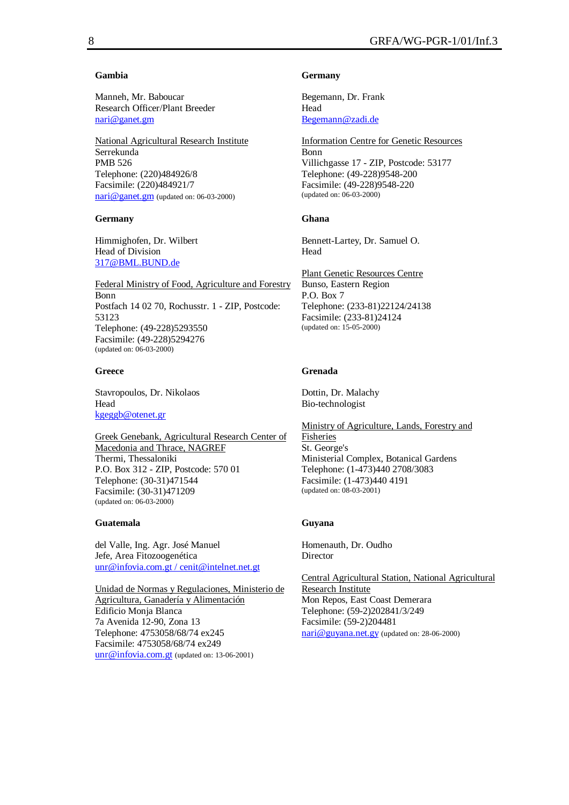## **Gambia**

Manneh, Mr. Baboucar Research Officer/Plant Breeder nari@ganet.gm

National Agricultural Research Institute Serrekunda PMB 526 Telephone: (220)484926/8 Facsimile: (220)484921/7 nari@ganet.gm (updated on: 06-03-2000)

## **Germany**

Himmighofen, Dr. Wilbert Head of Division 317@BML.BUND.de

Federal Ministry of Food, Agriculture and Forestry Bonn Postfach 14 02 70, Rochusstr. 1 - ZIP, Postcode: 53123 Telephone: (49-228)5293550 Facsimile: (49-228)5294276 (updated on: 06-03-2000)

# **Greece**

Stavropoulos, Dr. Nikolaos Head kgeggb@otenet.gr

Greek Genebank, Agricultural Research Center of Macedonia and Thrace, NAGREF Thermi, Thessaloniki P.O. Box 312 - ZIP, Postcode: 570 01 Telephone: (30-31)471544 Facsimile: (30-31)471209 (updated on: 06-03-2000)

# **Guatemala**

del Valle, Ing. Agr. José Manuel Jefe, Area Fitozoogenética unr@infovia.com.gt / cenit@intelnet.net.gt

Unidad de Normas y Regulaciones, Ministerio de Agricultura, Ganadería y Alimentación Edificio Monja Blanca 7a Avenida 12-90, Zona 13 Telephone: 4753058/68/74 ex245 Facsimile: 4753058/68/74 ex249 unr@infovia.com.gt (updated on: 13-06-2001)

# **Germany**

Begemann, Dr. Frank Head Begemann@zadi.de

Information Centre for Genetic Resources Bonn Villichgasse 17 - ZIP, Postcode: 53177 Telephone: (49-228)9548-200 Facsimile: (49-228)9548-220 (updated on: 06-03-2000)

# **Ghana**

Bennett-Lartey, Dr. Samuel O. Head

Plant Genetic Resources Centre Bunso, Eastern Region P.O. Box 7 Telephone: (233-81)22124/24138 Facsimile: (233-81)24124 (updated on: 15-05-2000)

# **Grenada**

Dottin, Dr. Malachy Bio-technologist

Ministry of Agriculture, Lands, Forestry and Fisheries St. George's Ministerial Complex, Botanical Gardens Telephone: (1-473)440 2708/3083 Facsimile: (1-473)440 4191 (updated on: 08-03-2001)

# **Guyana**

Homenauth, Dr. Oudho **Director** 

Central Agricultural Station, National Agricultural Research Institute Mon Repos, East Coast Demerara Telephone: (59-2)202841/3/249 Facsimile: (59-2)204481 nari@guyana.net.gy (updated on: 28-06-2000)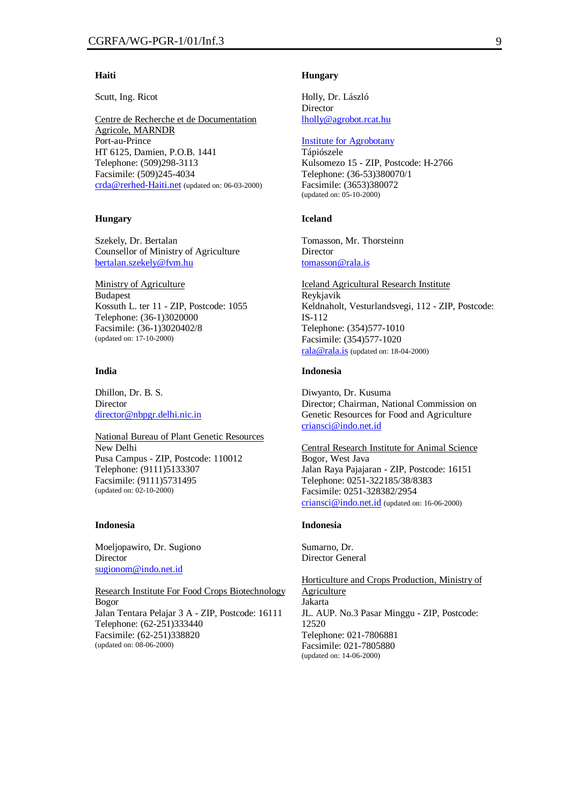#### **Haiti**

Scutt, Ing. Ricot

Centre de Recherche et de Documentation Agricole, MARNDR Port-au-Prince HT 6125, Damien, P.O.B. 1441 Telephone: (509)298-3113 Facsimile: (509)245-4034 crda@rerhed-Haiti.net (updated on: 06-03-2000)

## **Hungary**

Szekely, Dr. Bertalan Counsellor of Ministry of Agriculture bertalan.szekely@fvm.hu

Ministry of Agriculture Budapest Kossuth L. ter 11 - ZIP, Postcode: 1055 Telephone: (36-1)3020000 Facsimile: (36-1)3020402/8 (updated on: 17-10-2000)

# **India**

Dhillon, Dr. B. S. Director director@nbpgr.delhi.nic.in

National Bureau of Plant Genetic Resources New Delhi Pusa Campus - ZIP, Postcode: 110012 Telephone: (9111)5133307 Facsimile: (9111)5731495 (updated on: 02-10-2000)

#### **Indonesia**

Moeljopawiro, Dr. Sugiono Director sugionom@indo.net.id

Research Institute For Food Crops Biotechnology Bogor Jalan Tentara Pelajar 3 A - ZIP, Postcode: 16111 Telephone: (62-251)333440 Facsimile: (62-251)338820 (updated on: 08-06-2000)

#### **Hungary**

Holly, Dr. László **Director** lholly@agrobot.rcat.hu

## Institute for Agrobotany

Tápiószele Kulsomezo 15 - ZIP, Postcode: H-2766 Telephone: (36-53)380070/1 Facsimile: (3653)380072 (updated on: 05-10-2000)

#### **Iceland**

Tomasson, Mr. Thorsteinn Director tomasson@rala.is

Iceland Agricultural Research Institute Reykjavik Keldnaholt, Vesturlandsvegi, 112 - ZIP, Postcode: IS-112 Telephone: (354)577-1010 Facsimile: (354)577-1020 rala@rala.is (updated on: 18-04-2000)

# **Indonesia**

Diwyanto, Dr. Kusuma Director; Chairman, National Commission on Genetic Resources for Food and Agriculture criansci@indo.net.id

Central Research Institute for Animal Science Bogor, West Java Jalan Raya Pajajaran - ZIP, Postcode: 16151 Telephone: 0251-322185/38/8383 Facsimile: 0251-328382/2954 criansci@indo.net.id (updated on: 16-06-2000)

#### **Indonesia**

Sumarno, Dr. Director General

Horticulture and Crops Production, Ministry of Agriculture Jakarta JL. AUP. No.3 Pasar Minggu - ZIP, Postcode: 12520 Telephone: 021-7806881 Facsimile: 021-7805880 (updated on: 14-06-2000)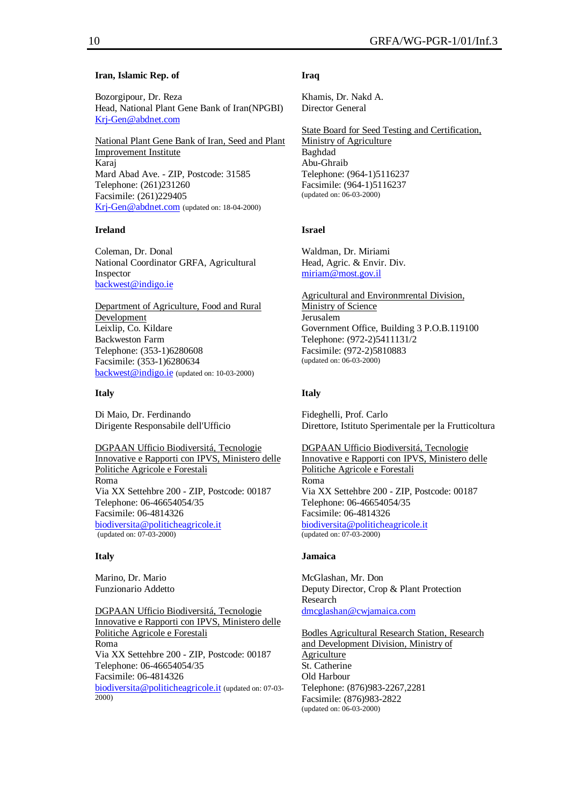## **Iran, Islamic Rep. of**

Bozorgipour, Dr. Reza Head, National Plant Gene Bank of Iran(NPGBI) Krj-Gen@abdnet.com

National Plant Gene Bank of Iran, Seed and Plant Improvement Institute Karaj Mard Abad Ave. - ZIP, Postcode: 31585 Telephone: (261)231260 Facsimile: (261)229405 Krj-Gen@abdnet.com (updated on: 18-04-2000)

## **Ireland**

Coleman, Dr. Donal National Coordinator GRFA, Agricultural Inspector backwest@indigo.ie

Department of Agriculture, Food and Rural Development Leixlip, Co. Kildare Backweston Farm Telephone: (353-1)6280608 Facsimile: (353-1)6280634 backwest@indigo.ie (updated on: 10-03-2000)

#### **Italy**

Di Maio, Dr. Ferdinando Dirigente Responsabile dell'Ufficio

DGPAAN Ufficio Biodiversitá, Tecnologie Innovative e Rapporti con IPVS, Ministero delle Politiche Agricole e Forestali Roma Via XX Settehbre 200 - ZIP, Postcode: 00187 Telephone: 06-46654054/35 Facsimile: 06-4814326 biodiversita@politicheagricole.it (updated on: 07-03-2000)

#### **Italy**

Marino, Dr. Mario Funzionario Addetto

DGPAAN Ufficio Biodiversitá, Tecnologie Innovative e Rapporti con IPVS, Ministero delle Politiche Agricole e Forestali Roma Via XX Settehbre 200 - ZIP, Postcode: 00187 Telephone: 06-46654054/35 Facsimile: 06-4814326 biodiversita@politicheagricole.it (updated on: 07-03- 2000)

## **Iraq**

Khamis, Dr. Nakd A. Director General

State Board for Seed Testing and Certification, Ministry of Agriculture Baghdad Abu-Ghraib Telephone: (964-1)5116237 Facsimile: (964-1)5116237 (updated on: 06-03-2000)

#### **Israel**

Waldman, Dr. Miriami Head, Agric. & Envir. Div. miriam@most.gov.il

Agricultural and Environmrental Division, Ministry of Science Jerusalem Government Office, Building 3 P.O.B.119100 Telephone: (972-2)5411131/2 Facsimile: (972-2)5810883 (updated on: 06-03-2000)

#### **Italy**

Fideghelli, Prof. Carlo Direttore, Istituto Sperimentale per la Frutticoltura

DGPAAN Ufficio Biodiversitá, Tecnologie Innovative e Rapporti con IPVS, Ministero delle Politiche Agricole e Forestali Roma Via XX Settehbre 200 - ZIP, Postcode: 00187 Telephone: 06-46654054/35 Facsimile: 06-4814326 biodiversita@politicheagricole.it (updated on: 07-03-2000)

#### **Jamaica**

McGlashan, Mr. Don Deputy Director, Crop & Plant Protection Research dmcglashan@cwjamaica.com

Bodles Agricultural Research Station, Research and Development Division, Ministry of Agriculture St. Catherine Old Harbour Telephone: (876)983-2267,2281 Facsimile: (876)983-2822 (updated on: 06-03-2000)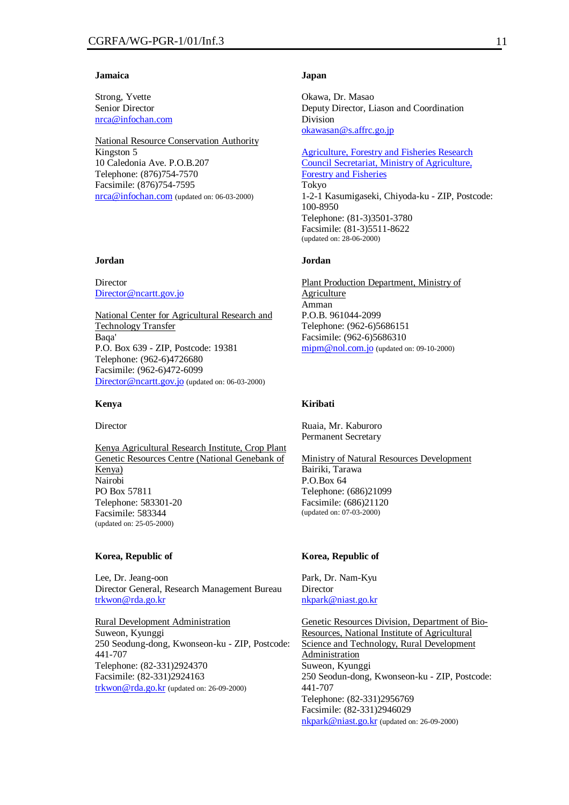#### **Jamaica**

Strong, Yvette Senior Director nrca@infochan.com

National Resource Conservation Authority Kingston 5 10 Caledonia Ave. P.O.B.207 Telephone: (876)754-7570 Facsimile: (876)754-7595 nrca@infochan.com (updated on: 06-03-2000)

# **Jordan**

Director Director@ncartt.gov.jo

National Center for Agricultural Research and Technology Transfer Baqa' P.O. Box 639 - ZIP, Postcode: 19381 Telephone: (962-6)4726680 Facsimile: (962-6)472-6099 Director@ncartt.gov.jo (updated on: 06-03-2000)

#### **Kenya**

Director

Kenya Agricultural Research Institute, Crop Plant Genetic Resources Centre (National Genebank of Kenya) Nairobi PO Box 57811 Telephone: 583301-20 Facsimile: 583344 (updated on: 25-05-2000)

#### **Korea, Republic of**

Lee, Dr. Jeang-oon Director General, Research Management Bureau trkwon@rda.go.kr

Rural Development Administration Suweon, Kyunggi 250 Seodung-dong, Kwonseon-ku - ZIP, Postcode: 441-707 Telephone: (82-331)2924370 Facsimile: (82-331)2924163 trkwon@rda.go.kr (updated on: 26-09-2000)

#### **Japan**

Okawa, Dr. Masao Deputy Director, Liason and Coordination Division okawasan@s.affrc.go.jp

Agriculture, Forestry and Fisheries Research Council Secretariat, Ministry of Agriculture, Forestry and Fisheries Tokyo 1-2-1 Kasumigaseki, Chiyoda-ku - ZIP, Postcode: 100-8950 Telephone: (81-3)3501-3780 Facsimile: (81-3)5511-8622 (updated on: 28-06-2000)

# **Jordan**

Plant Production Department, Ministry of **Agriculture** Amman P.O.B. 961044-2099 Telephone: (962-6)5686151 Facsimile: (962-6)5686310 mipm@nol.com.jo (updated on: 09-10-2000)

# **Kiribati**

Ruaia, Mr. Kaburoro Permanent Secretary

Ministry of Natural Resources Development Bairiki, Tarawa P.O.Box 64 Telephone: (686)21099 Facsimile: (686)21120 (updated on: 07-03-2000)

#### **Korea, Republic of**

Park, Dr. Nam-Kyu Director nkpark@niast.go.kr

Genetic Resources Division, Department of Bio-Resources, National Institute of Agricultural Science and Technology, Rural Development Administration Suweon, Kyunggi 250 Seodun-dong, Kwonseon-ku - ZIP, Postcode: 441-707 Telephone: (82-331)2956769 Facsimile: (82-331)2946029 nkpark@niast.go.kr (updated on: 26-09-2000)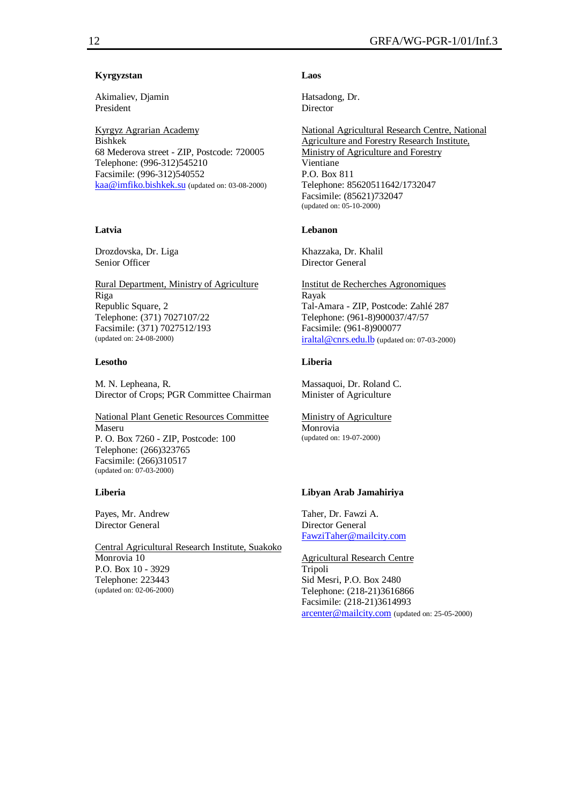# **Kyrgyzstan**

Akimaliev, Djamin President

Kyrgyz Agrarian Academy Bishkek 68 Mederova street - ZIP, Postcode: 720005 Telephone: (996-312)545210 Facsimile: (996-312)540552 kaa@imfiko.bishkek.su (updated on: 03-08-2000)

# **Latvia**

Drozdovska, Dr. Liga Senior Officer

Rural Department, Ministry of Agriculture Riga Republic Square, 2 Telephone: (371) 7027107/22 Facsimile: (371) 7027512/193 (updated on: 24-08-2000)

## **Lesotho**

M. N. Lepheana, R. Director of Crops; PGR Committee Chairman

National Plant Genetic Resources Committee Maseru P. O. Box 7260 - ZIP, Postcode: 100 Telephone: (266)323765 Facsimile: (266)310517 (updated on: 07-03-2000)

## **Liberia**

Payes, Mr. Andrew Director General

Central Agricultural Research Institute, Suakoko Monrovia 10 P.O. Box 10 - 3929 Telephone: 223443 (updated on: 02-06-2000)

# **Laos**

Hatsadong, Dr. **Director** 

National Agricultural Research Centre, National Agriculture and Forestry Research Institute, Ministry of Agriculture and Forestry Vientiane P.O. Box 811 Telephone: 85620511642/1732047 Facsimile: (85621)732047 (updated on: 05-10-2000)

## **Lebanon**

Khazzaka, Dr. Khalil Director General

Institut de Recherches Agronomiques Rayak Tal-Amara - ZIP, Postcode: Zahlé 287 Telephone: (961-8)900037/47/57 Facsimile: (961-8)900077 iraltal@cnrs.edu.lb (updated on: 07-03-2000)

# **Liberia**

Massaquoi, Dr. Roland C. Minister of Agriculture

Ministry of Agriculture Monrovia (updated on: 19-07-2000)

# **Libyan Arab Jamahiriya**

Taher, Dr. Fawzi A. Director General FawziTaher@mailcity.com

Agricultural Research Centre Tripoli Sid Mesri, P.O. Box 2480 Telephone: (218-21)3616866 Facsimile: (218-21)3614993 arcenter@mailcity.com (updated on: 25-05-2000)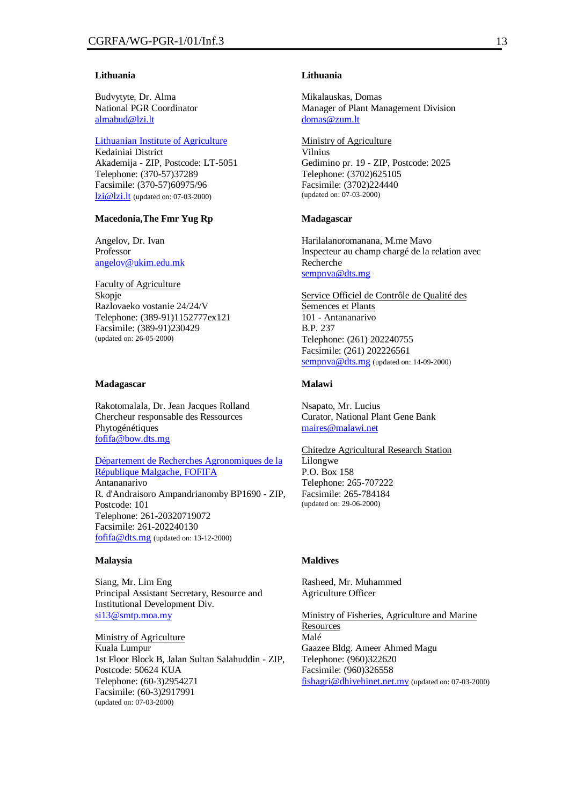## **Lithuania**

Budvytyte, Dr. Alma National PGR Coordinator almabud@lzi.lt

# Lithuanian Institute of Agriculture

Kedainiai District Akademija - ZIP, Postcode: LT-5051 Telephone: (370-57)37289 Facsimile: (370-57)60975/96 lzi@lzi.lt (updated on: 07-03-2000)

## **Macedonia,The Fmr Yug Rp**

Angelov, Dr. Ivan Professor angelov@ukim.edu.mk

Faculty of Agriculture Skopje Razlovaeko vostanie 24/24/V Telephone: (389-91)1152777ex121 Facsimile: (389-91)230429 (updated on: 26-05-2000)

#### **Madagascar**

Rakotomalala, Dr. Jean Jacques Rolland Chercheur responsable des Ressources Phytogénétiques fofifa@bow.dts.mg

Département de Recherches Agronomiques de la République Malgache, FOFIFA Antananarivo R. d'Andraisoro Ampandrianomby BP1690 - ZIP, Postcode: 101 Telephone: 261-20320719072 Facsimile: 261-202240130 fofifa@dts.mg (updated on: 13-12-2000)

## **Malaysia**

Siang, Mr. Lim Eng Principal Assistant Secretary, Resource and Institutional Development Div. si13@smtp.moa.my

Ministry of Agriculture Kuala Lumpur 1st Floor Block B, Jalan Sultan Salahuddin - ZIP, Postcode: 50624 KUA Telephone: (60-3)2954271 Facsimile: (60-3)2917991 (updated on: 07-03-2000)

#### **Lithuania**

Mikalauskas, Domas Manager of Plant Management Division domas@zum.lt

Ministry of Agriculture Vilnius Gedimino pr. 19 - ZIP, Postcode: 2025 Telephone: (3702)625105 Facsimile: (3702)224440 (updated on: 07-03-2000)

#### **Madagascar**

Harilalanoromanana, M.me Mavo Inspecteur au champ chargé de la relation avec Recherche sempnya@dts.mg

Service Officiel de Contrôle de Qualité des Semences et Plants 101 - Antananarivo B.P. 237 Telephone: (261) 202240755 Facsimile: (261) 202226561 sempnva@dts.mg (updated on: 14-09-2000)

# **Malawi**

Nsapato, Mr. Lucius Curator, National Plant Gene Bank maires@malawi.net

Chitedze Agricultural Research Station Lilongwe P.O. Box 158 Telephone: 265-707222 Facsimile: 265-784184 (updated on: 29-06-2000)

#### **Maldives**

Rasheed, Mr. Muhammed Agriculture Officer

Ministry of Fisheries, Agriculture and Marine **Resources** Malé Gaazee Bldg. Ameer Ahmed Magu Telephone: (960)322620 Facsimile: (960)326558 fishagri@dhivehinet.net.mv (updated on: 07-03-2000)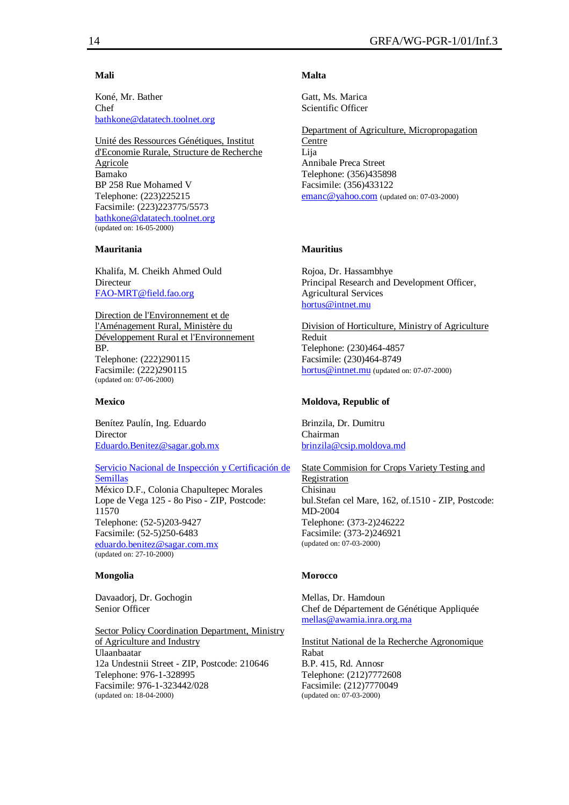## **Mali**

Koné, Mr. Bather Chef bathkone@datatech.toolnet.org

Unité des Ressources Génétiques, Institut d'Economie Rurale, Structure de Recherche Agricole Bamako BP 258 Rue Mohamed V Telephone: (223)225215 Facsimile: (223)223775/5573 bathkone@datatech.toolnet.org (updated on: 16-05-2000)

# **Mauritania**

Khalifa, M. Cheikh Ahmed Ould Directeur FAO-MRT@field.fao.org

Direction de l'Environnement et de l'Aménagement Rural, Ministère du Développement Rural et l'Environnement BP. Telephone: (222)290115 Facsimile: (222)290115 (updated on: 07-06-2000)

#### **Mexico**

Benítez Paulín, Ing. Eduardo Director Eduardo.Benitez@sagar.gob.mx

Servicio Nacional de Inspección y Certificación de Semillas México D.F., Colonia Chapultepec Morales Lope de Vega 125 - 8o Piso - ZIP, Postcode: 11570 Telephone: (52-5)203-9427 Facsimile: (52-5)250-6483 eduardo.benitez@sagar.com.mx (updated on: 27-10-2000)

## **Mongolia**

Davaadorj, Dr. Gochogin Senior Officer

Sector Policy Coordination Department, Ministry of Agriculture and Industry Ulaanbaatar 12a Undestnii Street - ZIP, Postcode: 210646 Telephone: 976-1-328995 Facsimile: 976-1-323442/028 (updated on: 18-04-2000)

# **Malta**

Gatt, Ms. Marica Scientific Officer

Department of Agriculture, Micropropagation Centre Lija Annibale Preca Street Telephone: (356)435898 Facsimile: (356)433122 emanc@yahoo.com (updated on: 07-03-2000)

## **Mauritius**

Rojoa, Dr. Hassambhye Principal Research and Development Officer, Agricultural Services hortus@intnet.mu

Division of Horticulture, Ministry of Agriculture Reduit Telephone: (230)464-4857 Facsimile: (230)464-8749 hortus@intnet.mu (updated on: 07-07-2000)

## **Moldova, Republic of**

Brinzila, Dr. Dumitru Chairman brinzila@csip.moldova.md

State Commision for Crops Variety Testing and Registration Chisinau bul.Stefan cel Mare, 162, of.1510 - ZIP, Postcode: MD-2004 Telephone: (373-2)246222 Facsimile: (373-2)246921 (updated on: 07-03-2000)

## **Morocco**

Mellas, Dr. Hamdoun Chef de Département de Génétique Appliquée mellas@awamia.inra.org.ma

Institut National de la Recherche Agronomique Rabat B.P. 415, Rd. Annosr Telephone: (212)7772608 Facsimile: (212)7770049 (updated on: 07-03-2000)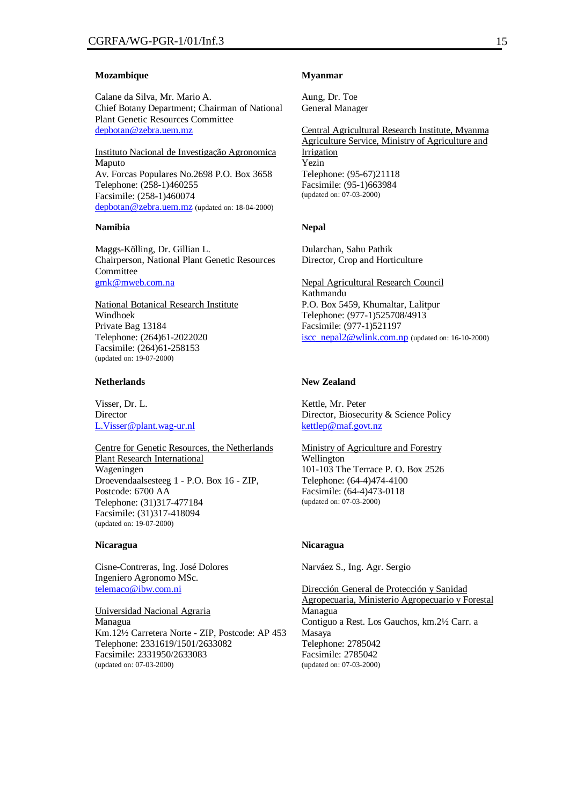#### **Mozambique**

Calane da Silva, Mr. Mario A. Chief Botany Department; Chairman of National Plant Genetic Resources Committee depbotan@zebra.uem.mz

Instituto Nacional de Investigação Agronomica Maputo Av. Forcas Populares No.2698 P.O. Box 3658 Telephone: (258-1)460255 Facsimile: (258-1)460074 depbotan@zebra.uem.mz (updated on: 18-04-2000)

## **Namibia**

Maggs-Kölling, Dr. Gillian L. Chairperson, National Plant Genetic Resources Committee gmk@mweb.com.na

National Botanical Research Institute Windhoek Private Bag 13184 Telephone: (264)61-2022020 Facsimile: (264)61-258153 (updated on: 19-07-2000)

# **Netherlands**

Visser, Dr. L. Director L.Visser@plant.wag-ur.nl

Centre for Genetic Resources, the Netherlands Plant Research International Wageningen Droevendaalsesteeg 1 - P.O. Box 16 - ZIP, Postcode: 6700 AA Telephone: (31)317-477184 Facsimile: (31)317-418094 (updated on: 19-07-2000)

## **Nicaragua**

Cisne-Contreras, Ing. José Dolores Ingeniero Agronomo MSc. telemaco@ibw.com.ni

Universidad Nacional Agraria Managua Km.12½ Carretera Norte - ZIP, Postcode: AP 453 Telephone: 2331619/1501/2633082 Facsimile: 2331950/2633083 (updated on: 07-03-2000)

#### **Myanmar**

Aung, Dr. Toe General Manager

Central Agricultural Research Institute, Myanma Agriculture Service, Ministry of Agriculture and Irrigation Yezin Telephone: (95-67)21118 Facsimile: (95-1)663984 (updated on: 07-03-2000)

#### **Nepal**

Dularchan, Sahu Pathik Director, Crop and Horticulture

Nepal Agricultural Research Council Kathmandu P.O. Box 5459, Khumaltar, Lalitpur Telephone: (977-1)525708/4913 Facsimile: (977-1)521197 iscc\_nepal2@wlink.com.np (updated on: 16-10-2000)

# **New Zealand**

Kettle, Mr. Peter Director, Biosecurity & Science Policy kettlep@maf.govt.nz

Ministry of Agriculture and Forestry Wellington 101-103 The Terrace P. O. Box 2526 Telephone: (64-4)474-4100 Facsimile: (64-4)473-0118 (updated on: 07-03-2000)

## **Nicaragua**

Narváez S., Ing. Agr. Sergio

Dirección General de Protección y Sanidad Agropecuaria, Ministerio Agropecuario y Forestal Managua Contiguo a Rest. Los Gauchos, km.2½ Carr. a Masaya Telephone: 2785042 Facsimile: 2785042 (updated on: 07-03-2000)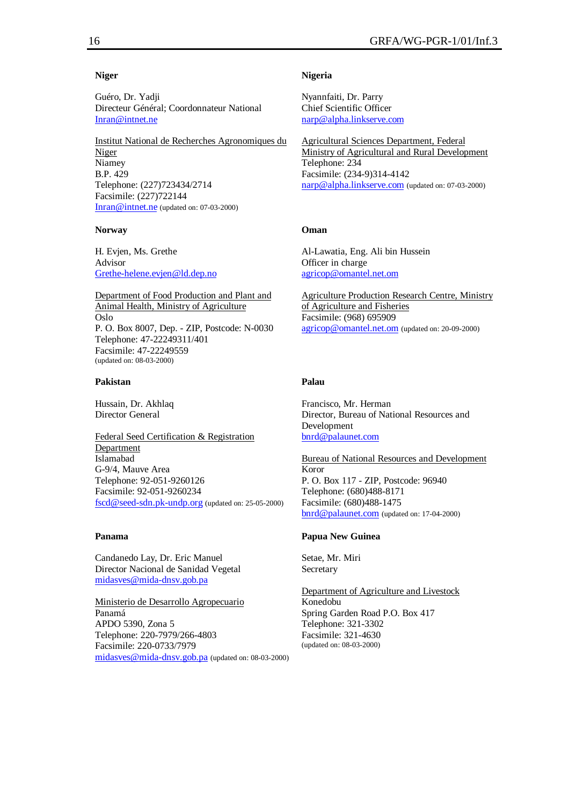# **Niger**

Guéro, Dr. Yadji Directeur Général; Coordonnateur National Inran@intnet.ne

Institut National de Recherches Agronomiques du Niger Niamey B.P. 429 Telephone: (227)723434/2714 Facsimile: (227)722144 Inran@intnet.ne (updated on: 07-03-2000)

#### **Norway**

H. Evjen, Ms. Grethe Advisor Grethe-helene.evjen@ld.dep.no

Department of Food Production and Plant and Animal Health, Ministry of Agriculture Oslo P. O. Box 8007, Dep. - ZIP, Postcode: N-0030 Telephone: 47-22249311/401 Facsimile: 47-22249559 (updated on: 08-03-2000)

## **Pakistan**

Hussain, Dr. Akhlaq Director General

Federal Seed Certification & Registration Department Islamabad G-9/4, Mauve Area Telephone: 92-051-9260126 Facsimile: 92-051-9260234 fscd@seed-sdn.pk-undp.org (updated on: 25-05-2000)

## **Panama**

Candanedo Lay, Dr. Eric Manuel Director Nacional de Sanidad Vegetal midasves@mida-dnsv.gob.pa

Ministerio de Desarrollo Agropecuario Panamá APDO 5390, Zona 5 Telephone: 220-7979/266-4803 Facsimile: 220-0733/7979 midasves@mida-dnsv.gob.pa (updated on: 08-03-2000)

## **Nigeria**

Nyannfaiti, Dr. Parry Chief Scientific Officer narp@alpha.linkserve.com

Agricultural Sciences Department, Federal Ministry of Agricultural and Rural Development Telephone: 234 Facsimile: (234-9)314-4142 narp@alpha.linkserve.com (updated on: 07-03-2000)

## **Oman**

Al-Lawatia, Eng. Ali bin Hussein Officer in charge agricop@omantel.net.om

Agriculture Production Research Centre, Ministry of Agriculture and Fisheries Facsimile: (968) 695909 agricop@omantel.net.om (updated on: 20-09-2000)

# **Palau**

Francisco, Mr. Herman Director, Bureau of National Resources and Development bnrd@palaunet.com

Bureau of National Resources and Development Koror P. O. Box 117 - ZIP, Postcode: 96940 Telephone: (680)488-8171 Facsimile: (680)488-1475 bnrd@palaunet.com (updated on: 17-04-2000)

# **Papua New Guinea**

Setae, Mr. Miri **Secretary** 

Department of Agriculture and Livestock Konedobu Spring Garden Road P.O. Box 417 Telephone: 321-3302 Facsimile: 321-4630 (updated on: 08-03-2000)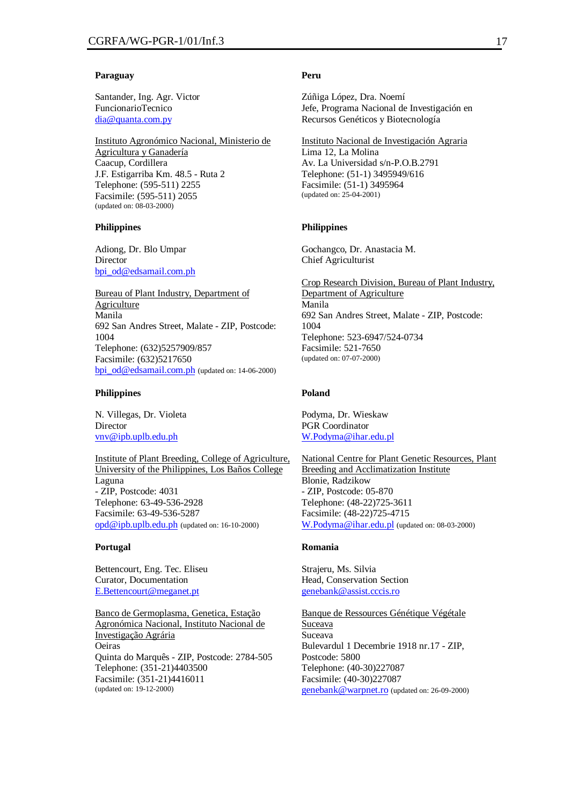## **Paraguay**

Santander, Ing. Agr. Victor FuncionarioTecnico dia@quanta.com.py

Instituto Agronómico Nacional, Ministerio de Agricultura y Ganadería Caacup, Cordillera J.F. Estigarriba Km. 48.5 - Ruta 2 Telephone: (595-511) 2255 Facsimile: (595-511) 2055 (updated on: 08-03-2000)

#### **Philippines**

Adiong, Dr. Blo Umpar Director bpi\_od@edsamail.com.ph

Bureau of Plant Industry, Department of Agriculture Manila 692 San Andres Street, Malate - ZIP, Postcode: 1004 Telephone: (632)5257909/857 Facsimile: (632)5217650 bpi\_od@edsamail.com.ph (updated on: 14-06-2000)

#### **Philippines**

N. Villegas, Dr. Violeta Director vnv@ipb.uplb.edu.ph

Institute of Plant Breeding, College of Agriculture, University of the Philippines, Los Baños College Laguna - ZIP, Postcode: 4031 Telephone: 63-49-536-2928 Facsimile: 63-49-536-5287 opd@ipb.uplb.edu.ph (updated on: 16-10-2000)

#### **Portugal**

Bettencourt, Eng. Tec. Eliseu Curator, Documentation E.Bettencourt@meganet.pt

Banco de Germoplasma, Genetica, Estação Agronómica Nacional, Instituto Nacional de Investigação Agrária Oeiras Quinta do Marquês - ZIP, Postcode: 2784-505 Telephone: (351-21)4403500 Facsimile: (351-21)4416011 (updated on: 19-12-2000)

#### **Peru**

Zúñiga López, Dra. Noemí Jefe, Programa Nacional de Investigación en Recursos Genéticos y Biotecnología

Instituto Nacional de Investigación Agraria Lima 12, La Molina Av. La Universidad s/n-P.O.B.2791 Telephone: (51-1) 3495949/616 Facsimile: (51-1) 3495964 (updated on: 25-04-2001)

#### **Philippines**

Gochangco, Dr. Anastacia M. Chief Agriculturist

Crop Research Division, Bureau of Plant Industry, Department of Agriculture Manila 692 San Andres Street, Malate - ZIP, Postcode: 1004 Telephone: 523-6947/524-0734 Facsimile: 521-7650 (updated on: 07-07-2000)

#### **Poland**

Podyma, Dr. Wieskaw PGR Coordinator W.Podyma@ihar.edu.pl

National Centre for Plant Genetic Resources, Plant Breeding and Acclimatization Institute Blonie, Radzikow - ZIP, Postcode: 05-870 Telephone: (48-22)725-3611 Facsimile: (48-22)725-4715 W.Podyma@ihar.edu.pl (updated on: 08-03-2000)

#### **Romania**

Strajeru, Ms. Silvia Head, Conservation Section genebank@assist.cccis.ro

Banque de Ressources Génétique Végétale Suceava Suceava Bulevardul 1 Decembrie 1918 nr.17 - ZIP, Postcode: 5800 Telephone: (40-30)227087 Facsimile: (40-30)227087 genebank@warpnet.ro (updated on: 26-09-2000)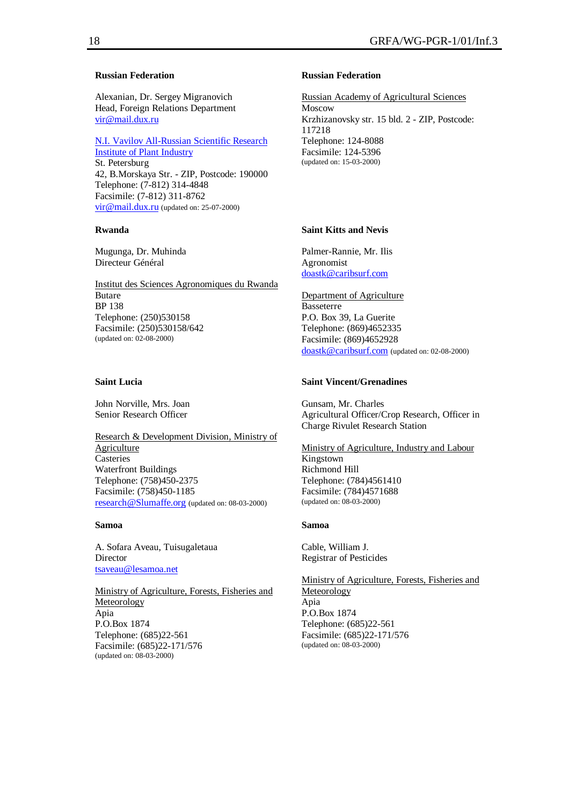## **Russian Federation**

Alexanian, Dr. Sergey Migranovich Head, Foreign Relations Department vir@mail.dux.ru

N.I. Vavilov All-Russian Scientific Research Institute of Plant Industry St. Petersburg 42, B.Morskaya Str. - ZIP, Postcode: 190000 Telephone: (7-812) 314-4848 Facsimile: (7-812) 311-8762 vir @ mail.dux.ru (updated on: 25-07-2000)

#### **Rwanda**

Mugunga, Dr. Muhinda Directeur Général

Institut des Sciences Agronomiques du Rwanda Butare BP 138 Telephone: (250)530158 Facsimile: (250)530158/642 (updated on: 02-08-2000)

#### **Saint Lucia**

John Norville, Mrs. Joan Senior Research Officer

Research & Development Division, Ministry of Agriculture **Casteries** Waterfront Buildings Telephone: (758)450-2375 Facsimile: (758)450-1185 research@Slumaffe.org (updated on: 08-03-2000)

#### **Samoa**

A. Sofara Aveau, Tuisugaletaua Director tsaveau@lesamoa.net

Ministry of Agriculture, Forests, Fisheries and Meteorology Apia P.O.Box 1874 Telephone: (685)22-561 Facsimile: (685)22-171/576 (updated on: 08-03-2000)

#### **Russian Federation**

Russian Academy of Agricultural Sciences Moscow Krzhizanovsky str. 15 bld. 2 - ZIP, Postcode: 117218 Telephone: 124-8088 Facsimile: 124-5396 (updated on: 15-03-2000)

# **Saint Kitts and Nevis**

Palmer-Rannie, Mr. Ilis Agronomist doastk@caribsurf.com

Department of Agriculture Basseterre P.O. Box 39, La Guerite Telephone: (869)4652335 Facsimile: (869)4652928 doastk@caribsurf.com (updated on: 02-08-2000)

# **Saint Vincent/Grenadines**

Gunsam, Mr. Charles Agricultural Officer/Crop Research, Officer in Charge Rivulet Research Station

Ministry of Agriculture, Industry and Labour Kingstown Richmond Hill Telephone: (784)4561410 Facsimile: (784)4571688 (updated on: 08-03-2000)

#### **Samoa**

Cable, William J. Registrar of Pesticides

Ministry of Agriculture, Forests, Fisheries and Meteorology Apia P.O.Box 1874 Telephone: (685)22-561 Facsimile: (685)22-171/576 (updated on: 08-03-2000)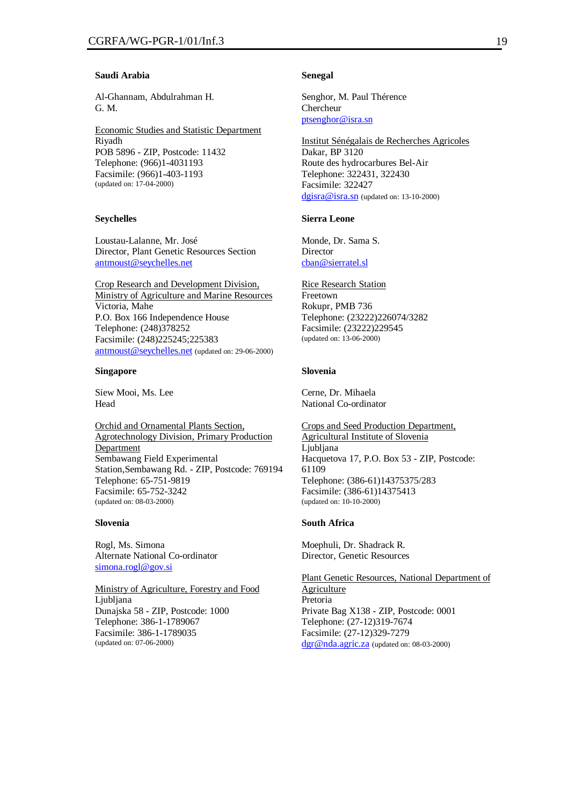# **Saudi Arabia**

Al-Ghannam, Abdulrahman H. G. M.

Economic Studies and Statistic Department Riyadh POB 5896 - ZIP, Postcode: 11432 Telephone: (966)1-4031193 Facsimile: (966)1-403-1193 (updated on: 17-04-2000)

#### **Seychelles**

Loustau-Lalanne, Mr. José Director, Plant Genetic Resources Section antmoust@seychelles.net

Crop Research and Development Division, Ministry of Agriculture and Marine Resources Victoria, Mahe P.O. Box 166 Independence House Telephone: (248)378252 Facsimile: (248)225245;225383 antmoust@seychelles.net (updated on: 29-06-2000)

#### **Singapore**

Siew Mooi, Ms. Lee Head

Orchid and Ornamental Plants Section, Agrotechnology Division, Primary Production Department Sembawang Field Experimental Station,Sembawang Rd. - ZIP, Postcode: 769194 Telephone: 65-751-9819 Facsimile: 65-752-3242 (updated on: 08-03-2000)

#### **Slovenia**

Rogl, Ms. Simona Alternate National Co-ordinator simona.rogl@gov.si

Ministry of Agriculture, Forestry and Food Ljubljana Dunajska 58 - ZIP, Postcode: 1000 Telephone: 386-1-1789067 Facsimile: 386-1-1789035 (updated on: 07-06-2000)

#### **Senegal**

Senghor, M. Paul Thérence Chercheur ptsenghor@isra.sn

Institut Sénégalais de Recherches Agricoles Dakar, BP 3120 Route des hydrocarbures Bel-Air Telephone: 322431, 322430 Facsimile: 322427 dgisra@isra.sn (updated on: 13-10-2000)

#### **Sierra Leone**

Monde, Dr. Sama S. Director cban@sierratel.sl

Rice Research Station Freetown Rokupr, PMB 736 Telephone: (23222)226074/3282 Facsimile: (23222)229545 (updated on: 13-06-2000)

# **Slovenia**

Cerne, Dr. Mihaela National Co-ordinator

Crops and Seed Production Department, Agricultural Institute of Slovenia Ljubljana Hacquetova 17, P.O. Box 53 - ZIP, Postcode: 61109 Telephone: (386-61)14375375/283 Facsimile: (386-61)14375413 (updated on: 10-10-2000)

#### **South Africa**

Moephuli, Dr. Shadrack R. Director, Genetic Resources

Plant Genetic Resources, National Department of Agriculture Pretoria Private Bag X138 - ZIP, Postcode: 0001 Telephone: (27-12)319-7674 Facsimile: (27-12)329-7279 dgr@nda.agric.za (updated on: 08-03-2000)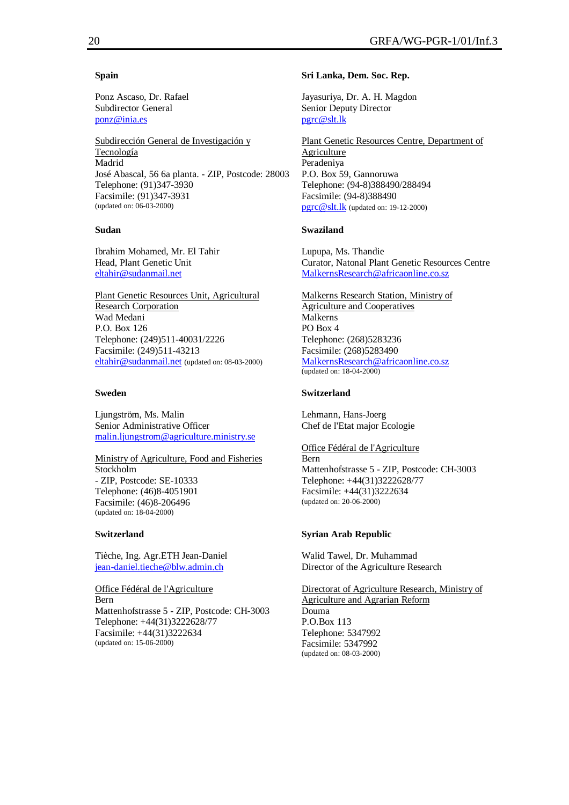## **Spain**

Ponz Ascaso, Dr. Rafael Subdirector General ponz@inia.es

Subdirección General de Investigación y Tecnología Madrid José Abascal, 56 6a planta. - ZIP, Postcode: 28003 Telephone: (91)347-3930 Facsimile: (91)347-3931 (updated on: 06-03-2000)

# **Sudan**

Ibrahim Mohamed, Mr. El Tahir Head, Plant Genetic Unit eltahir@sudanmail.net

Plant Genetic Resources Unit, Agricultural Research Corporation Wad Medani P.O. Box 126 Telephone: (249)511-40031/2226 Facsimile: (249)511-43213 eltahir@sudanmail.net (updated on: 08-03-2000)

# **Sweden**

Ljungström, Ms. Malin Senior Administrative Officer malin.ljungstrom@agriculture.ministry.se

Ministry of Agriculture, Food and Fisheries Stockholm - ZIP, Postcode: SE-10333 Telephone: (46)8-4051901 Facsimile: (46)8-206496 (updated on: 18-04-2000)

## **Switzerland**

Tièche, Ing. Agr.ETH Jean-Daniel jean-daniel.tieche@blw.admin.ch

Office Fédéral de l'Agriculture Bern Mattenhofstrasse 5 - ZIP, Postcode: CH-3003 Telephone: +44(31)3222628/77 Facsimile: +44(31)3222634 (updated on: 15-06-2000)

# **Sri Lanka, Dem. Soc. Rep.**

Jayasuriya, Dr. A. H. Magdon Senior Deputy Director pgrc@slt.lk

Plant Genetic Resources Centre, Department of Agriculture Peradeniya P.O. Box 59, Gannoruwa Telephone: (94-8)388490/288494 Facsimile: (94-8)388490 pgrc@slt.lk (updated on: 19-12-2000)

# **Swaziland**

Lupupa, Ms. Thandie Curator, Natonal Plant Genetic Resources Centre MalkernsResearch@africaonline.co.sz

Malkerns Research Station, Ministry of Agriculture and Cooperatives Malkerns PO Box 4 Telephone: (268)5283236 Facsimile: (268)5283490 MalkernsResearch@africaonline.co.sz (updated on: 18-04-2000)

# **Switzerland**

Lehmann, Hans-Joerg Chef de l'Etat major Ecologie

Office Fédéral de l'Agriculture Bern Mattenhofstrasse 5 - ZIP, Postcode: CH-3003 Telephone: +44(31)3222628/77 Facsimile: +44(31)3222634 (updated on: 20-06-2000)

# **Syrian Arab Republic**

Walid Tawel, Dr. Muhammad Director of the Agriculture Research

Directorat of Agriculture Research, Ministry of Agriculture and Agrarian Reform Douma P.O.Box 113 Telephone: 5347992 Facsimile: 5347992 (updated on: 08-03-2000)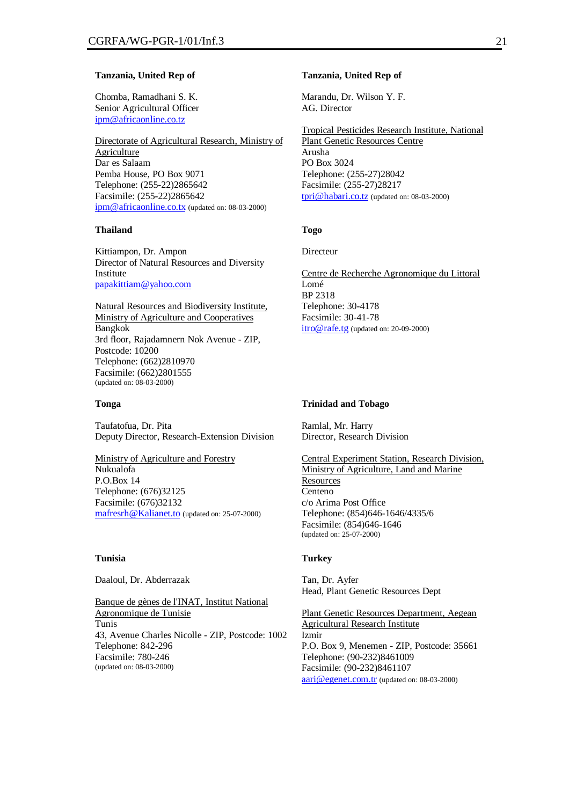#### **Tanzania, United Rep of**

Chomba, Ramadhani S. K. Senior Agricultural Officer ipm@africaonline.co.tz

Directorate of Agricultural Research, Ministry of Agriculture Dar es Salaam Pemba House, PO Box 9071 Telephone: (255-22)2865642 Facsimile: (255-22)2865642 ipm@africaonline.co.tx (updated on: 08-03-2000)

## **Thailand**

Kittiampon, Dr. Ampon Director of Natural Resources and Diversity Institute papakittiam@yahoo.com

Natural Resources and Biodiversity Institute, Ministry of Agriculture and Cooperatives Bangkok 3rd floor, Rajadamnern Nok Avenue - ZIP, Postcode: 10200 Telephone: (662)2810970 Facsimile: (662)2801555 (updated on: 08-03-2000)

#### **Tonga**

Taufatofua, Dr. Pita Deputy Director, Research-Extension Division

Ministry of Agriculture and Forestry Nukualofa P.O.Box 14 Telephone: (676)32125 Facsimile: (676)32132 mafresrh@Kalianet.to (updated on: 25-07-2000)

## **Tunisia**

Daaloul, Dr. Abderrazak

Banque de gènes de l'INAT, Institut National Agronomique de Tunisie Tunis 43, Avenue Charles Nicolle - ZIP, Postcode: 1002 Telephone: 842-296 Facsimile: 780-246 (updated on: 08-03-2000)

#### **Tanzania, United Rep of**

Marandu, Dr. Wilson Y. F. AG. Director

Tropical Pesticides Research Institute, National Plant Genetic Resources Centre Arusha PO Box 3024 Telephone: (255-27)28042 Facsimile: (255-27)28217 tpri@habari.co.tz (updated on: 08-03-2000)

# **Togo**

Directeur

Centre de Recherche Agronomique du Littoral Lomé BP 2318 Telephone: 30-4178 Facsimile: 30-41-78 itro@rafe.tg (updated on: 20-09-2000)

#### **Trinidad and Tobago**

Ramlal, Mr. Harry Director, Research Division

Central Experiment Station, Research Division, Ministry of Agriculture, Land and Marine **Resources** Centeno c/o Arima Post Office Telephone: (854)646-1646/4335/6 Facsimile: (854)646-1646 (updated on: 25-07-2000)

# **Turkey**

Tan, Dr. Ayfer Head, Plant Genetic Resources Dept

Plant Genetic Resources Department, Aegean Agricultural Research Institute Izmir P.O. Box 9, Menemen - ZIP, Postcode: 35661 Telephone: (90-232)8461009 Facsimile: (90-232)8461107 aari@egenet.com.tr (updated on: 08-03-2000)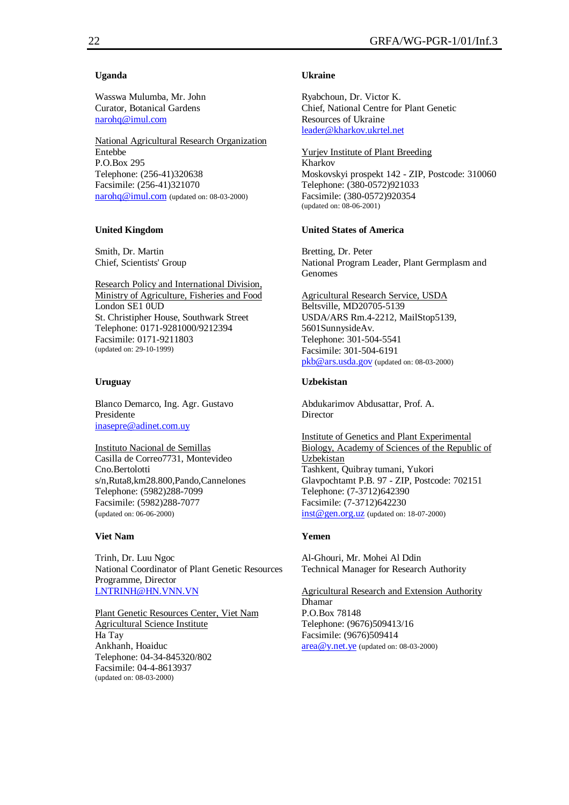## **Uganda**

Wasswa Mulumba, Mr. John Curator, Botanical Gardens narohq@imul.com

National Agricultural Research Organization Entebbe P.O.Box 295 Telephone: (256-41)320638 Facsimile: (256-41)321070 narohq@imul.com (updated on: 08-03-2000)

## **United Kingdom**

Smith, Dr. Martin Chief, Scientists' Group

Research Policy and International Division, Ministry of Agriculture, Fisheries and Food London SE1 0UD St. Christipher House, Southwark Street Telephone: 0171-9281000/9212394 Facsimile: 0171-9211803 (updated on: 29-10-1999)

## **Uruguay**

Blanco Demarco, Ing. Agr. Gustavo Presidente inasepre@adinet.com.uy

Instituto Nacional de Semillas Casilla de Correo7731, Montevideo Cno.Bertolotti s/n,Ruta8,km28.800,Pando,Cannelones Telephone: (5982)288-7099 Facsimile: (5982)288-7077 (updated on: 06-06-2000)

## **Viet Nam**

Trinh, Dr. Luu Ngoc National Coordinator of Plant Genetic Resources Programme, Director LNTRINH@HN.VNN.VN

## Plant Genetic Resources Center, Viet Nam Agricultural Science Institute

Ha Tay Ankhanh, Hoaiduc Telephone: 04-34-845320/802 Facsimile: 04-4-8613937 (updated on: 08-03-2000)

## **Ukraine**

Ryabchoun, Dr. Victor K. Chief, National Centre for Plant Genetic Resources of Ukraine leader@kharkov.ukrtel.net

Yurjev Institute of Plant Breeding Kharkov Moskovskyi prospekt 142 - ZIP, Postcode: 310060 Telephone: (380-0572)921033 Facsimile: (380-0572)920354 (updated on: 08-06-2001)

#### **United States of America**

Bretting, Dr. Peter National Program Leader, Plant Germplasm and Genomes

Agricultural Research Service, USDA Beltsville, MD20705-5139 USDA/ARS Rm.4-2212, MailStop5139, 5601SunnysideAv. Telephone: 301-504-5541 Facsimile: 301-504-6191 pkb@ars.usda.gov (updated on: 08-03-2000)

# **Uzbekistan**

Abdukarimov Abdusattar, Prof. A. **Director** 

Institute of Genetics and Plant Experimental Biology, Academy of Sciences of the Republic of Uzbekistan Tashkent, Quibray tumani, Yukori Glavpochtamt P.B. 97 - ZIP, Postcode: 702151 Telephone: (7-3712)642390 Facsimile: (7-3712)642230 inst@gen.org.uz (updated on: 18-07-2000)

# **Yemen**

Al-Ghouri, Mr. Mohei Al Ddin Technical Manager for Research Authority

Agricultural Research and Extension Authority Dhamar P.O.Box 78148 Telephone: (9676)509413/16 Facsimile: (9676)509414 area@y.net.ye (updated on: 08-03-2000)